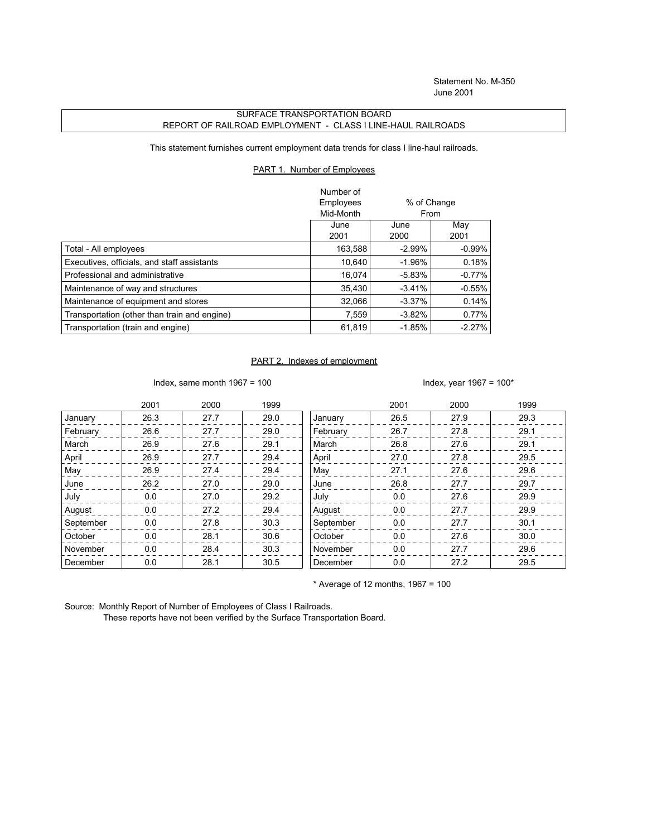## SURFACE TRANSPORTATION BOARD REPORT OF RAILROAD EMPLOYMENT - CLASS I LINE-HAUL RAILROADS

This statement furnishes current employment data trends for class I line-haul railroads.

## PART 1. Number of Employees

|                                              | Number of<br>Employees<br>Mid-Month | % of Change<br><b>From</b> |             |
|----------------------------------------------|-------------------------------------|----------------------------|-------------|
|                                              | June<br>2001                        | June<br>2000               | May<br>2001 |
| Total - All employees                        | 163,588                             | $-2.99%$                   | $-0.99\%$   |
| Executives, officials, and staff assistants  | 10,640                              | $-1.96%$                   | 0.18%       |
| Professional and administrative              | 16.074                              | $-5.83%$                   | $-0.77%$    |
| Maintenance of way and structures            | 35.430                              | $-3.41%$                   | $-0.55\%$   |
| Maintenance of equipment and stores          | 32,066                              | $-3.37\%$                  | 0.14%       |
| Transportation (other than train and engine) | 7,559                               | $-3.82%$                   | 0.77%       |
| Transportation (train and engine)            | 61,819                              | $-1.85%$                   | $-2.27%$    |

## PART 2. Indexes of employment

Index, same month  $1967 = 100$  Index, year  $1967 = 100*$ 

|           | 2001 | 2000 | 1999 |           | 2001 | 2000 | 1999 |
|-----------|------|------|------|-----------|------|------|------|
| January   | 26.3 | 27.7 | 29.0 | January   | 26.5 | 27.9 | 29.3 |
| February  | 26.6 | 27.7 | 29.0 | February  | 26.7 | 27.8 | 29.1 |
| March     | 26.9 | 27.6 | 29.1 | March     | 26.8 | 27.6 | 29.1 |
| April     | 26.9 | 27.7 | 29.4 | April     | 27.0 | 27.8 | 29.5 |
| May       | 26.9 | 27.4 | 29.4 | May       | 27.1 | 27.6 | 29.6 |
| June      | 26.2 | 27.0 | 29.0 | June      | 26.8 | 27.7 | 29.7 |
| July      | 0.0  | 27.0 | 29.2 | July      | 0.0  | 27.6 | 29.9 |
| August    | 0.0  | 27.2 | 29.4 | August    | 0.0  | 27.7 | 29.9 |
| September | 0.0  | 27.8 | 30.3 | September | 0.0  | 27.7 | 30.1 |
| October   | 0.0  | 28.1 | 30.6 | October   | 0.0  | 27.6 | 30.0 |
| November  | 0.0  | 28.4 | 30.3 | November  | 0.0  | 27.7 | 29.6 |
| December  | 0.0  | 28.1 | 30.5 | December  | 0.0  | 27.2 | 29.5 |

 $*$  Average of 12 months, 1967 = 100

Source: Monthly Report of Number of Employees of Class I Railroads.

These reports have not been verified by the Surface Transportation Board.